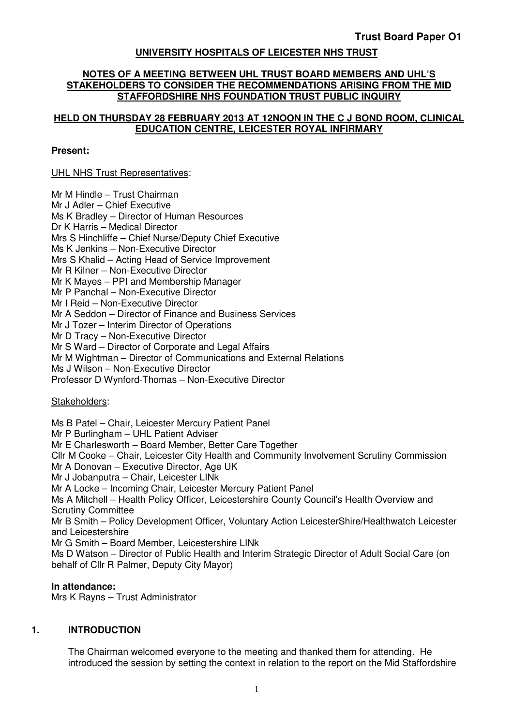# **UNIVERSITY HOSPITALS OF LEICESTER NHS TRUST**

#### **NOTES OF A MEETING BETWEEN UHL TRUST BOARD MEMBERS AND UHL'S STAKEHOLDERS TO CONSIDER THE RECOMMENDATIONS ARISING FROM THE MID STAFFORDSHIRE NHS FOUNDATION TRUST PUBLIC INQUIRY**

## **HELD ON THURSDAY 28 FEBRUARY 2013 AT 12NOON IN THE C J BOND ROOM, CLINICAL EDUCATION CENTRE, LEICESTER ROYAL INFIRMARY**

#### **Present:**

### UHL NHS Trust Representatives:

Mr M Hindle – Trust Chairman Mr J Adler – Chief Executive Ms K Bradley – Director of Human Resources Dr K Harris – Medical Director Mrs S Hinchliffe – Chief Nurse/Deputy Chief Executive Ms K Jenkins – Non-Executive Director Mrs S Khalid – Acting Head of Service Improvement Mr R Kilner – Non-Executive Director Mr K Mayes – PPI and Membership Manager Mr P Panchal – Non-Executive Director Mr I Reid – Non-Executive Director Mr A Seddon – Director of Finance and Business Services Mr J Tozer – Interim Director of Operations Mr D Tracy – Non-Executive Director Mr S Ward – Director of Corporate and Legal Affairs Mr M Wightman – Director of Communications and External Relations Ms J Wilson – Non-Executive Director Professor D Wynford-Thomas – Non-Executive Director

#### Stakeholders:

Ms B Patel – Chair, Leicester Mercury Patient Panel Mr P Burlingham – UHL Patient Adviser Mr E Charlesworth – Board Member, Better Care Together Cllr M Cooke – Chair, Leicester City Health and Community Involvement Scrutiny Commission Mr A Donovan – Executive Director, Age UK Mr J Jobanputra – Chair, Leicester LINk Mr A Locke – Incoming Chair, Leicester Mercury Patient Panel Ms A Mitchell – Health Policy Officer, Leicestershire County Council's Health Overview and Scrutiny Committee Mr B Smith – Policy Development Officer, Voluntary Action LeicesterShire/Healthwatch Leicester and Leicestershire Mr G Smith – Board Member, Leicestershire LINk Ms D Watson – Director of Public Health and Interim Strategic Director of Adult Social Care (on behalf of Cllr R Palmer, Deputy City Mayor)

#### **In attendance:**

Mrs K Rayns – Trust Administrator

### **1. INTRODUCTION**

The Chairman welcomed everyone to the meeting and thanked them for attending. He introduced the session by setting the context in relation to the report on the Mid Staffordshire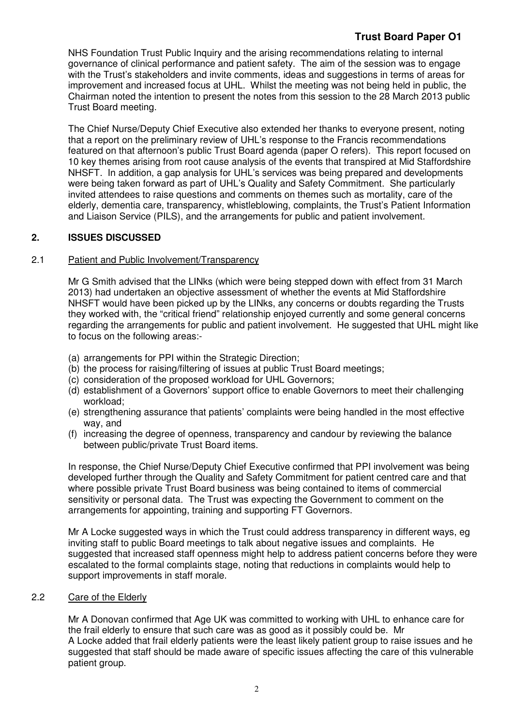# **Trust Board Paper O1**

NHS Foundation Trust Public Inquiry and the arising recommendations relating to internal governance of clinical performance and patient safety. The aim of the session was to engage with the Trust's stakeholders and invite comments, ideas and suggestions in terms of areas for improvement and increased focus at UHL. Whilst the meeting was not being held in public, the Chairman noted the intention to present the notes from this session to the 28 March 2013 public Trust Board meeting.

The Chief Nurse/Deputy Chief Executive also extended her thanks to everyone present, noting that a report on the preliminary review of UHL's response to the Francis recommendations featured on that afternoon's public Trust Board agenda (paper O refers). This report focused on 10 key themes arising from root cause analysis of the events that transpired at Mid Staffordshire NHSFT. In addition, a gap analysis for UHL's services was being prepared and developments were being taken forward as part of UHL's Quality and Safety Commitment. She particularly invited attendees to raise questions and comments on themes such as mortality, care of the elderly, dementia care, transparency, whistleblowing, complaints, the Trust's Patient Information and Liaison Service (PILS), and the arrangements for public and patient involvement.

# **2. ISSUES DISCUSSED**

# 2.1 Patient and Public Involvement/Transparency

Mr G Smith advised that the LINks (which were being stepped down with effect from 31 March 2013) had undertaken an objective assessment of whether the events at Mid Staffordshire NHSFT would have been picked up by the LINks, any concerns or doubts regarding the Trusts they worked with, the "critical friend" relationship enjoyed currently and some general concerns regarding the arrangements for public and patient involvement. He suggested that UHL might like to focus on the following areas:-

- (a) arrangements for PPI within the Strategic Direction;
- (b) the process for raising/filtering of issues at public Trust Board meetings;
- (c) consideration of the proposed workload for UHL Governors;
- (d) establishment of a Governors' support office to enable Governors to meet their challenging workload;
- (e) strengthening assurance that patients' complaints were being handled in the most effective way, and
- (f) increasing the degree of openness, transparency and candour by reviewing the balance between public/private Trust Board items.

In response, the Chief Nurse/Deputy Chief Executive confirmed that PPI involvement was being developed further through the Quality and Safety Commitment for patient centred care and that where possible private Trust Board business was being contained to items of commercial sensitivity or personal data. The Trust was expecting the Government to comment on the arrangements for appointing, training and supporting FT Governors.

Mr A Locke suggested ways in which the Trust could address transparency in different ways, eg inviting staff to public Board meetings to talk about negative issues and complaints. He suggested that increased staff openness might help to address patient concerns before they were escalated to the formal complaints stage, noting that reductions in complaints would help to support improvements in staff morale.

# 2.2 Care of the Elderly

Mr A Donovan confirmed that Age UK was committed to working with UHL to enhance care for the frail elderly to ensure that such care was as good as it possibly could be. Mr A Locke added that frail elderly patients were the least likely patient group to raise issues and he suggested that staff should be made aware of specific issues affecting the care of this vulnerable patient group.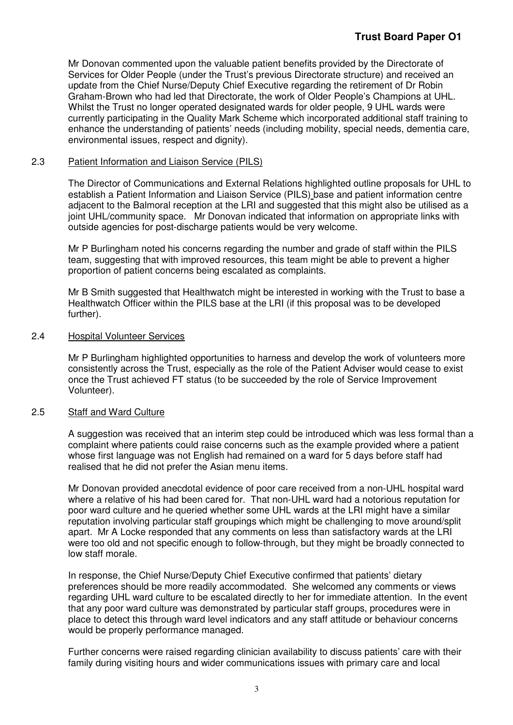Mr Donovan commented upon the valuable patient benefits provided by the Directorate of Services for Older People (under the Trust's previous Directorate structure) and received an update from the Chief Nurse/Deputy Chief Executive regarding the retirement of Dr Robin Graham-Brown who had led that Directorate, the work of Older People's Champions at UHL. Whilst the Trust no longer operated designated wards for older people, 9 UHL wards were currently participating in the Quality Mark Scheme which incorporated additional staff training to enhance the understanding of patients' needs (including mobility, special needs, dementia care, environmental issues, respect and dignity).

## 2.3 Patient Information and Liaison Service (PILS)

The Director of Communications and External Relations highlighted outline proposals for UHL to establish a Patient Information and Liaison Service (PILS) base and patient information centre adjacent to the Balmoral reception at the LRI and suggested that this might also be utilised as a joint UHL/community space. Mr Donovan indicated that information on appropriate links with outside agencies for post-discharge patients would be very welcome.

Mr P Burlingham noted his concerns regarding the number and grade of staff within the PILS team, suggesting that with improved resources, this team might be able to prevent a higher proportion of patient concerns being escalated as complaints.

Mr B Smith suggested that Healthwatch might be interested in working with the Trust to base a Healthwatch Officer within the PILS base at the LRI (if this proposal was to be developed further).

### 2.4 Hospital Volunteer Services

Mr P Burlingham highlighted opportunities to harness and develop the work of volunteers more consistently across the Trust, especially as the role of the Patient Adviser would cease to exist once the Trust achieved FT status (to be succeeded by the role of Service Improvement Volunteer).

### 2.5 Staff and Ward Culture

A suggestion was received that an interim step could be introduced which was less formal than a complaint where patients could raise concerns such as the example provided where a patient whose first language was not English had remained on a ward for 5 days before staff had realised that he did not prefer the Asian menu items.

Mr Donovan provided anecdotal evidence of poor care received from a non-UHL hospital ward where a relative of his had been cared for. That non-UHL ward had a notorious reputation for poor ward culture and he queried whether some UHL wards at the LRI might have a similar reputation involving particular staff groupings which might be challenging to move around/split apart. Mr A Locke responded that any comments on less than satisfactory wards at the LRI were too old and not specific enough to follow-through, but they might be broadly connected to low staff morale.

In response, the Chief Nurse/Deputy Chief Executive confirmed that patients' dietary preferences should be more readily accommodated. She welcomed any comments or views regarding UHL ward culture to be escalated directly to her for immediate attention. In the event that any poor ward culture was demonstrated by particular staff groups, procedures were in place to detect this through ward level indicators and any staff attitude or behaviour concerns would be properly performance managed.

Further concerns were raised regarding clinician availability to discuss patients' care with their family during visiting hours and wider communications issues with primary care and local